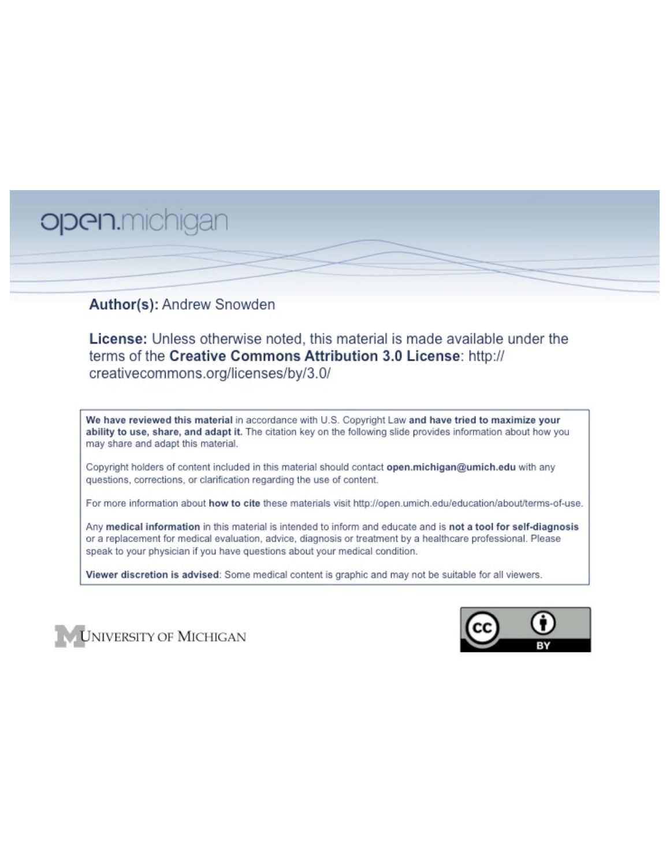# open.michigan

# Author(s): Andrew Snowden

License: Unless otherwise noted, this material is made available under the terms of the Creative Commons Attribution 3.0 License: http:// creativecommons.org/licenses/by/3.0/

We have reviewed this material in accordance with U.S. Copyright Law and have tried to maximize your ability to use, share, and adapt it. The citation key on the following slide provides information about how you may share and adapt this material.

Copyright holders of content included in this material should contact open.michigan@umich.edu with any questions, corrections, or clarification regarding the use of content.

For more information about how to cite these materials visit http://open.umich.edu/education/about/terms-of-use.

Any medical information in this material is intended to inform and educate and is not a tool for self-diagnosis or a replacement for medical evaluation, advice, diagnosis or treatment by a healthcare professional. Please speak to your physician if you have questions about your medical condition.

Viewer discretion is advised: Some medical content is graphic and may not be suitable for all viewers.



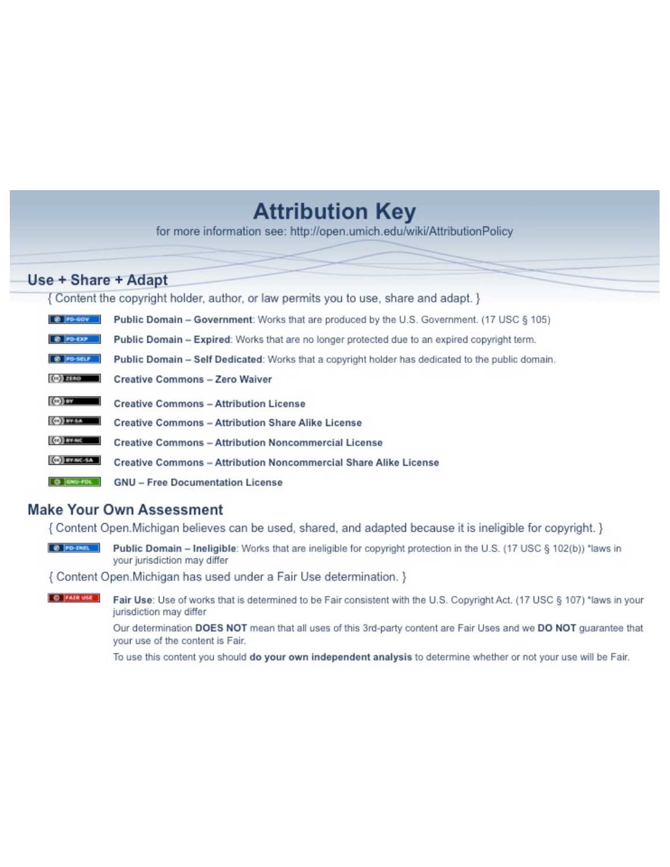# **Attribution Key**

for more information see: http://open.umich.edu/wiki/AttributionPolicy

# Use + Share + Adapt

{ Content the copyright holder, author, or law permits you to use, share and adapt. }

| @ PD-GOV                  | <b>Public Domain - Government:</b> Works that are produced by the U.S. Government. (17 USC § 105) |
|---------------------------|---------------------------------------------------------------------------------------------------|
| @ PD-EXP                  | Public Domain - Expired: Works that are no longer protected due to an expired copyright term.     |
| @ PO-SELF                 | Public Domain - Self Dedicated: Works that a copyright holder has dedicated to the public domain. |
| $(c2)$ 21110              | <b>Creative Commons - Zero Waiver</b>                                                             |
| $\left($ ce) $\right)$ my | <b>Creative Commons - Attribution License</b>                                                     |
| <b>CO</b> ITY-SA          | <b>Creative Commons - Attribution Share Alike License</b>                                         |
| <b>CO</b> BY-NC           | <b>Creative Commons - Attribution Noncommercial License</b>                                       |
| <b>CO</b> BY-NC-SA        | Creative Commons - Attribution Noncommercial Share Alike License                                  |
| GNU-FOL                   | <b>GNU - Free Documentation License</b>                                                           |

### **Make Your Own Assessment**

{ Content Open. Michigan believes can be used, shared, and adapted because it is ineligible for copyright. }

Public Domain - Ineligible: Works that are ineligible for copyright protection in the U.S. (17 USC § 102(b)) \*laws in your jurisdiction may differ

{ Content Open. Michigan has used under a Fair Use determination. }

**O** FAIR USE Fair Use: Use of works that is determined to be Fair consistent with the U.S. Copyright Act. (17 USC § 107) \*laws in your jurisdiction may differ

> Our determination DOES NOT mean that all uses of this 3rd-party content are Fair Uses and we DO NOT guarantee that your use of the content is Fair.

To use this content you should do your own independent analysis to determine whether or not your use will be Fair.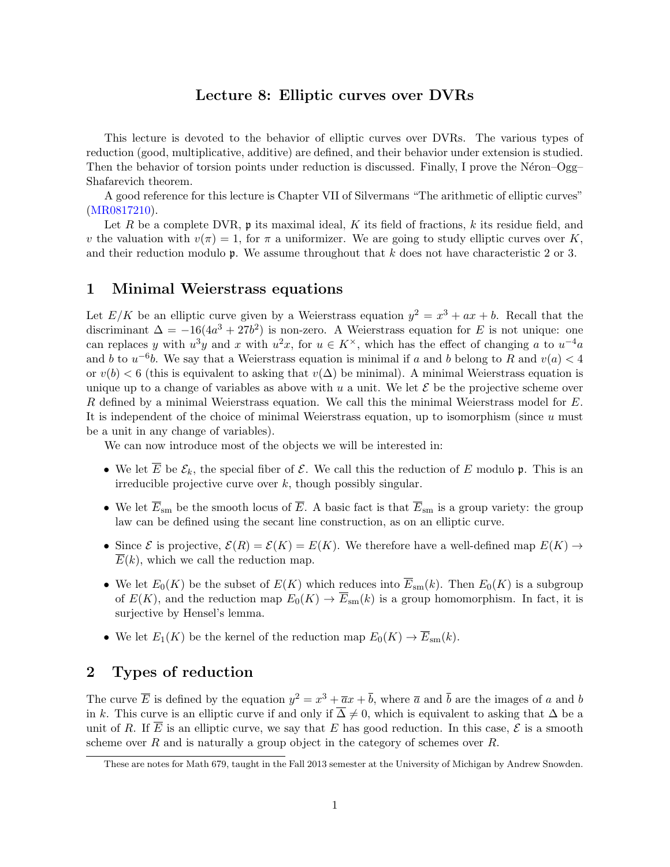#### Lecture 8: Elliptic curves over DVRs

This lecture is devoted to the behavior of elliptic curves over DVRs. The various types of reduction (good, multiplicative, additive) are defined, and their behavior under extension is studied. Then the behavior of torsion points under reduction is discussed. Finally, I prove the Néron–Ogg– Shafarevich theorem.

A good reference for this lecture is Chapter VII of Silvermans "The arithmetic of elliptic curves" (MR0817210).

Let *R* be a complete DVR, p its maximal ideal, *K* its field of fractions, *k* its residue field, and *v* the valuation with  $v(\pi) = 1$ , for  $\pi$  a uniformizer. We are going to study elliptic curves over *K*, and their reduction modulo p. We assume throughout that *k* does not have characteristic 2 or 3.

#### 1 Minimal Weierstrass equations

Let  $E/K$  be an elliptic curve given by a Weierstrass equation  $y^2 = x^3 + ax + b$ . Recall that the discriminant  $\Delta = -16(4a^3 + 27b^2)$  is non-zero. A Weierstrass equation for *E* is not unique: one can replaces *y* with  $u^3y$  and *x* with  $u^2x$ , for  $u \in K^\times$ , which has the effect of changing *a* to  $u^{-4}a$ and *b* to  $u^{-6}b$ . We say that a Weierstrass equation is minimal if *a* and *b* belong to *R* and  $v(a) < 4$ or  $v(b) < 6$  (this is equivalent to asking that  $v(\Delta)$  be minimal). A minimal Weierstrass equation is unique up to a change of variables as above with  $u$  a unit. We let  $\mathcal E$  be the projective scheme over *R* defined by a minimal Weierstrass equation. We call this the minimal Weierstrass model for *E*. It is independent of the choice of minimal Weierstrass equation, up to isomorphism (since *u* must be a unit in any change of variables).

We can now introduce most of the objects we will be interested in:

- We let  $\overline{E}$  be  $\mathcal{E}_k$ , the special fiber of  $\mathcal{E}$ . We call this the reduction of  $E$  modulo  $\mathfrak{p}$ . This is an irreducible projective curve over *k*, though possibly singular.
- We let  $\overline{E}_{\rm sm}$  be the smooth locus of  $\overline{E}$ . A basic fact is that  $\overline{E}_{\rm sm}$  is a group variety: the group law can be defined using the secant line construction, as on an elliptic curve.
- Since  $\mathcal E$  is projective,  $\mathcal E(R) = \mathcal E(K) = E(K)$ . We therefore have a well-defined map  $E(K) \to$  $\overline{E}(k)$ , which we call the reduction map.
- We let  $E_0(K)$  be the subset of  $E(K)$  which reduces into  $\overline{E}_{sm}(k)$ . Then  $E_0(K)$  is a subgroup of  $E(K)$ , and the reduction map  $E_0(K) \to \overline{E}_{sm}(k)$  is a group homomorphism. In fact, it is surjective by Hensel's lemma.
- We let  $E_1(K)$  be the kernel of the reduction map  $E_0(K) \to \overline{E}_{sm}(k)$ .

#### 2 Types of reduction

The curve  $\overline{E}$  is defined by the equation  $y^2 = x^3 + \overline{a}x + \overline{b}$ , where  $\overline{a}$  and  $\overline{b}$  are the images of *a* and *b* in k. This curve is an elliptic curve if and only if  $\overline{\Delta} \neq 0$ , which is equivalent to asking that  $\Delta$  be a unit of R. If  $\overline{E}$  is an elliptic curve, we say that E has good reduction. In this case,  $\mathcal{E}$  is a smooth scheme over *R* and is naturally a group object in the category of schemes over *R*.

These are notes for Math 679, taught in the Fall 2013 semester at the University of Michigan by Andrew Snowden.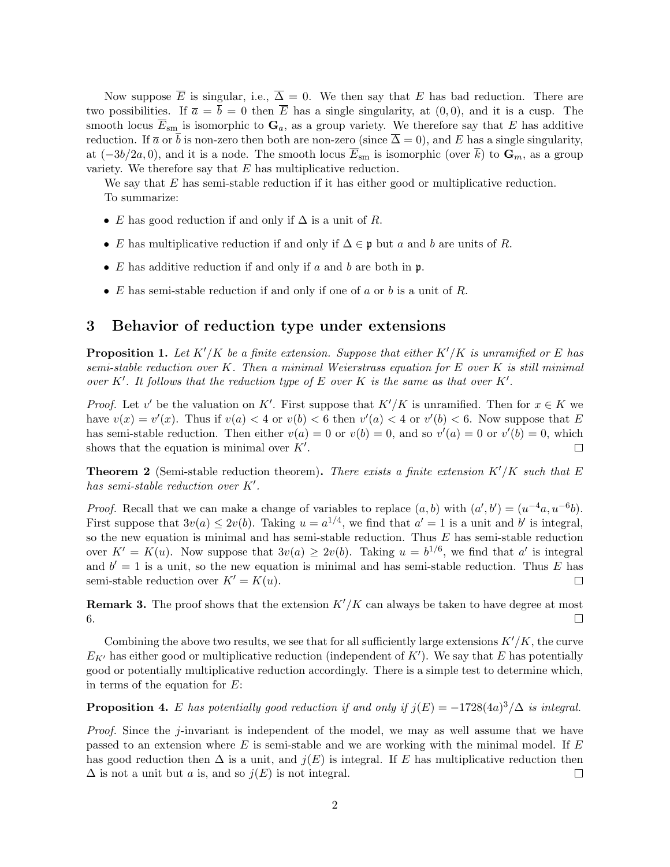Now suppose  $\overline{E}$  is singular, i.e.,  $\overline{\Delta} = 0$ . We then say that *E* has bad reduction. There are two possibilities. If  $\bar{a} = \bar{b} = 0$  then  $\bar{E}$  has a single singularity, at  $(0,0)$ , and it is a cusp. The smooth locus  $\overline{E}_{\rm sm}$  is isomorphic to  $\mathbf{G}_a$ , as a group variety. We therefore say that *E* has additive reduction. If  $\bar{a}$  or  $\bar{b}$  is non-zero then both are non-zero (since  $\bar{\Delta} = 0$ ), and *E* has a single singularity, at  $(-3b/2a, 0)$ , and it is a node. The smooth locus  $\overline{E}_{\rm sm}$  is isomorphic (over  $\overline{k}$ ) to  $\mathbf{G}_m$ , as a group variety. We therefore say that *E* has multiplicative reduction.

We say that *E* has semi-stable reduction if it has either good or multiplicative reduction. To summarize:

- *E* has good reduction if and only if  $\Delta$  is a unit of *R*.
- *E* has multiplicative reduction if and only if  $\Delta \in \mathfrak{p}$  but *a* and *b* are units of *R*.
- *• E* has additive reduction if and only if *a* and *b* are both in p.
- *• E* has semi-stable reduction if and only if one of *a* or *b* is a unit of *R*.

#### 3 Behavior of reduction type under extensions

**Proposition 1.** Let  $K'/K$  be a finite extension. Suppose that either  $K'/K$  is unramified or E has *semi-stable reduction over K. Then a minimal Weierstrass equation for E over K is still minimal over*  $K'$ . It follows that the reduction type of  $E$  over  $K$  is the same as that over  $K'$ .

*Proof.* Let *v*<sup> $\prime$ </sup> be the valuation on *K*<sup> $\prime$ </sup>. First suppose that *K*<sup> $\prime$ </sup>/*K* is unramified. Then for  $x \in K$  we have  $v(x) = v'(x)$ . Thus if  $v(a) < 4$  or  $v(b) < 6$  then  $v'(a) < 4$  or  $v'(b) < 6$ . Now suppose that *E* has semi-stable reduction. Then either  $v(a) = 0$  or  $v(b) = 0$ , and so  $v'(a) = 0$  or  $v'(b) = 0$ , which shows that the equation is minimal over  $K'$ .

**Theorem 2** (Semi-stable reduction theorem). There exists a finite extension  $K'/K$  such that E *has semi-stable reduction over*  $K'$ .

*Proof.* Recall that we can make a change of variables to replace  $(a, b)$  with  $(a', b') = (u^{-4}a, u^{-6}b)$ . First suppose that  $3v(a) \leq 2v(b)$ . Taking  $u = a^{1/4}$ , we find that  $a' = 1$  is a unit and b' is integral, so the new equation is minimal and has semi-stable reduction. Thus *E* has semi-stable reduction over  $K' = K(u)$ . Now suppose that  $3v(a) \geq 2v(b)$ . Taking  $u = b^{1/6}$ , we find that *a'* is integral and  $b' = 1$  is a unit, so the new equation is minimal and has semi-stable reduction. Thus *E* has semi-stable reduction over  $K' = K(u)$ .  $\Box$ 

**Remark 3.** The proof shows that the extension  $K'/K$  can always be taken to have degree at most 6.  $\Box$ 

Combining the above two results, we see that for all sufficiently large extensions  $K'/K$ , the curve  $E_{K'}$  has either good or multiplicative reduction (independent of  $K'$ ). We say that *E* has potentially good or potentially multiplicative reduction accordingly. There is a simple test to determine which, in terms of the equation for *E*:

**Proposition 4.** *E* has potentially good reduction if and only if  $j(E) = -1728(4a)^3/\Delta$  is integral.

*Proof.* Since the *j*-invariant is independent of the model, we may as well assume that we have passed to an extension where *E* is semi-stable and we are working with the minimal model. If *E* has good reduction then  $\Delta$  is a unit, and  $j(E)$  is integral. If *E* has multiplicative reduction then  $\Delta$  is not a unit but *a* is, and so  $j(E)$  is not integral.  $\Box$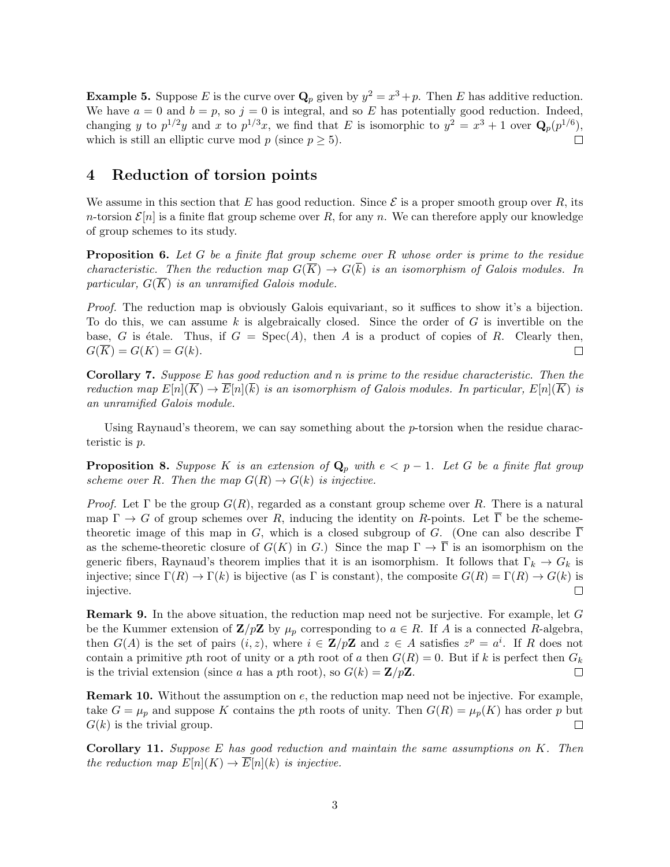**Example 5.** Suppose *E* is the curve over  $\mathbf{Q}_p$  given by  $y^2 = x^3 + p$ . Then *E* has additive reduction. We have  $a = 0$  and  $b = p$ , so  $j = 0$  is integral, and so E has potentially good reduction. Indeed, changing *y* to  $p^{1/2}y$  and *x* to  $p^{1/3}x$ , we find that *E* is isomorphic to  $y^2 = x^3 + 1$  over  $\mathbf{Q}_p(p^{1/6})$ , which is still an elliptic curve mod  $p$  (since  $p \geq 5$ ).  $\Box$ 

#### 4 Reduction of torsion points

We assume in this section that *E* has good reduction. Since  $\mathcal E$  is a proper smooth group over *R*, its *n*-torsion  $\mathcal{E}[n]$  is a finite flat group scheme over *R*, for any *n*. We can therefore apply our knowledge of group schemes to its study.

Proposition 6. *Let G be a finite flat group scheme over R whose order is prime to the residue characteristic. Then the reduction map*  $G(\overline{K}) \to G(k)$  *is an isomorphism of Galois modules. In particular,*  $G(\overline{K})$  *is an unramified Galois module.* 

*Proof.* The reduction map is obviously Galois equivariant, so it suffices to show it's a bijection. To do this, we can assume *k* is algebraically closed. Since the order of *G* is invertible on the base, *G* is étale. Thus, if  $G = \text{Spec}(A)$ , then *A* is a product of copies of *R*. Clearly then,  $G(\overline{K}) = G(K) = G(k).$  $\Box$ 

Corollary 7. *Suppose E has good reduction and n is prime to the residue characteristic. Then the reduction map*  $E[n](K) \to E[n](k)$  *is an isomorphism of Galois modules. In particular,*  $E[n](K)$  *is an unramified Galois module.*

Using Raynaud's theorem, we can say something about the *p*-torsion when the residue characteristic is *p*.

**Proposition 8.** Suppose K is an extension of  $\mathbf{Q}_p$  with  $e < p-1$ . Let G be a finite flat group *scheme over R.* Then the map  $G(R) \rightarrow G(k)$  *is injective.* 

*Proof.* Let  $\Gamma$  be the group  $G(R)$ , regarded as a constant group scheme over R. There is a natural map  $\Gamma \to G$  of group schemes over *R*, inducing the identity on *R*-points. Let  $\overline{\Gamma}$  be the schemetheoretic image of this map in *G*, which is a closed subgroup of *G*. (One can also describe  $\overline{\Gamma}$ as the scheme-theoretic closure of  $G(K)$  in *G*.) Since the map  $\Gamma \to \overline{\Gamma}$  is an isomorphism on the generic fibers, Raynaud's theorem implies that it is an isomorphism. It follows that  $\Gamma_k \to G_k$  is injective; since  $\Gamma(R) \to \Gamma(k)$  is bijective (as  $\Gamma$  is constant), the composite  $G(R) = \Gamma(R) \to G(k)$  is injective injective.

Remark 9. In the above situation, the reduction map need not be surjective. For example, let *G* be the Kummer extension of  $\mathbf{Z}/p\mathbf{Z}$  by  $\mu_p$  corresponding to  $a \in R$ . If A is a connected R-algebra, then  $G(A)$  is the set of pairs  $(i, z)$ , where  $i \in \mathbb{Z}/p\mathbb{Z}$  and  $z \in A$  satisfies  $z^p = a^i$ . If *R* does not contain a primitive *p*th root of unity or a *p*th root of *a* then  $G(R) = 0$ . But if *k* is perfect then  $G_k$ is the trivial extension (since *a* has a *p*th root), so  $G(k) = \mathbf{Z}/p\mathbf{Z}$ .  $\Box$ 

Remark 10. Without the assumption on *e*, the reduction map need not be injective. For example, take  $G = \mu_p$  and suppose K contains the *p*th roots of unity. Then  $G(R) = \mu_p(K)$  has order *p* but  $G(k)$  is the trivial group.  $\Box$ 

Corollary 11. *Suppose E has good reduction and maintain the same assumptions on K. Then the reduction map*  $E[n](K) \to \overline{E}[n](k)$  *is injective.*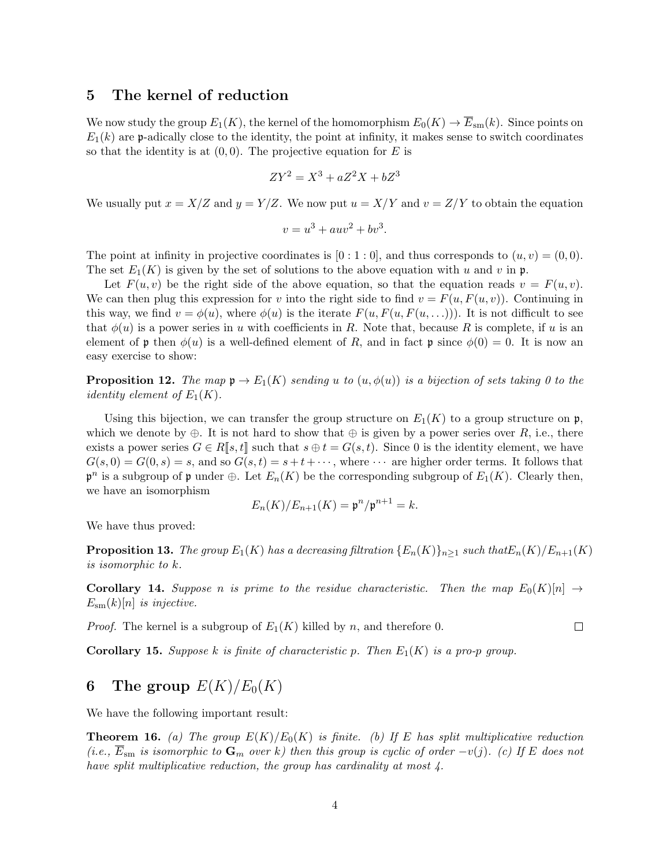#### 5 The kernel of reduction

We now study the group  $E_1(K)$ , the kernel of the homomorphism  $E_0(K) \to \overline{E}_{sm}(k)$ . Since points on  $E_1(k)$  are p-adically close to the identity, the point at infinity, it makes sense to switch coordinates so that the identity is at  $(0,0)$ . The projective equation for *E* is

$$
ZY^2 = X^3 + aZ^2X + bZ^3
$$

We usually put  $x = X/Z$  and  $y = Y/Z$ . We now put  $u = X/Y$  and  $v = Z/Y$  to obtain the equation

$$
v = u^3 + auv^2 + bv^3.
$$

The point at infinity in projective coordinates is  $[0:1:0]$ , and thus corresponds to  $(u, v) = (0, 0)$ . The set  $E_1(K)$  is given by the set of solutions to the above equation with *u* and *v* in **p**.

Let  $F(u, v)$  be the right side of the above equation, so that the equation reads  $v = F(u, v)$ . We can then plug this expression for *v* into the right side to find  $v = F(u, F(u, v))$ . Continuing in this way, we find  $v = \phi(u)$ , where  $\phi(u)$  is the iterate  $F(u, F(u, F(u, \ldots)))$ . It is not difficult to see that  $\phi(u)$  is a power series in *u* with coefficients in *R*. Note that, because *R* is complete, if *u* is an element of p then  $\phi(u)$  is a well-defined element of R, and in fact p since  $\phi(0) = 0$ . It is now an easy exercise to show:

**Proposition 12.** *The map*  $\mathfrak{p} \to E_1(K)$  *sending u to*  $(u, \phi(u))$  *is a bijection of sets taking 0 to the identity element of*  $E_1(K)$ .

Using this bijection, we can transfer the group structure on  $E_1(K)$  to a group structure on  $\mathfrak{p}_1$ , which we denote by  $\oplus$ . It is not hard to show that  $\oplus$  is given by a power series over *R*, i.e., there exists a power series  $G \in R[s, t]$  such that  $s \oplus t = G(s, t)$ . Since 0 is the identity element, we have  $G(s, 0) = G(0, s) = s$ , and so  $G(s, t) = s + t + \cdots$ , where  $\cdots$  are higher order terms. It follows that  $\mathfrak{p}^n$  is a subgroup of  $\mathfrak{p}$  under  $\oplus$ . Let  $E_n(K)$  be the corresponding subgroup of  $E_1(K)$ . Clearly then, we have an isomorphism

$$
E_n(K)/E_{n+1}(K) = \mathfrak{p}^n/\mathfrak{p}^{n+1} = k.
$$

We have thus proved:

**Proposition 13.** The group  $E_1(K)$  has a decreasing filtration  $\{E_n(K)\}_{n>1}$  such that  $E_n(K)/E_{n+1}(K)$ *is isomorphic to k.*

**Corollary 14.** Suppose *n* is prime to the residue characteristic. Then the map  $E_0(K)[n] \rightarrow$  $E_{\rm sm}(k)[n]$  *is injective.* 

*Proof.* The kernel is a subgroup of  $E_1(K)$  killed by *n*, and therefore 0.

 $\Box$ 

**Corollary 15.** *Suppose k is finite of characteristic p. Then*  $E_1(K)$  *is a pro-p group.* 

## 6 The group  $E(K)/E_0(K)$

We have the following important result:

**Theorem 16.** *(a)* The group  $E(K)/E_0(K)$  is finite. *(b)* If *E* has split multiplicative reduction  $(i.e.,\ \overline{E}_{\rm sm}$  *is isomorphic to*  $\mathbf{G}_m$  *over k*) then this group is cyclic of order  $-v(j)$ . (c) If E does not *have split multiplicative reduction, the group has cardinality at most 4.*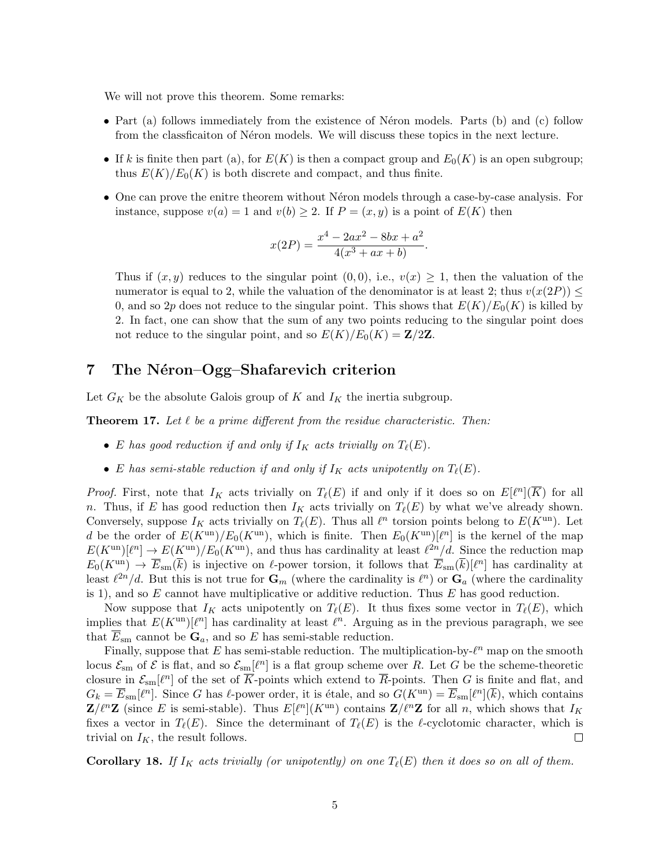We will not prove this theorem. Some remarks:

- Part (a) follows immediately from the existence of Néron models. Parts (b) and (c) follow from the classification of Neron models. We will discuss these topics in the next lecture.
- If *k* is finite then part (a), for  $E(K)$  is then a compact group and  $E_0(K)$  is an open subgroup; thus  $E(K)/E_0(K)$  is both discrete and compact, and thus finite.
- One can prove the enitre theorem without Néron models through a case-by-case analysis. For instance, suppose  $v(a) = 1$  and  $v(b) \geq 2$ . If  $P = (x, y)$  is a point of  $E(K)$  then

$$
x(2P) = \frac{x^4 - 2ax^2 - 8bx + a^2}{4(x^3 + ax + b)}.
$$

Thus if  $(x, y)$  reduces to the singular point  $(0, 0)$ , i.e.,  $v(x) \geq 1$ , then the valuation of the numerator is equal to 2, while the valuation of the denominator is at least 2; thus  $v(x(2P)) \leq$ 0, and so 2p does not reduce to the singular point. This shows that  $E(K)/E_0(K)$  is killed by 2. In fact, one can show that the sum of any two points reducing to the singular point does not reduce to the singular point, and so  $E(K)/E_0(K) = \mathbb{Z}/2\mathbb{Z}$ .

#### 7 The Néron–Ogg–Shafarevich criterion

Let  $G_K$  be the absolute Galois group of  $K$  and  $I_K$  the inertia subgroup.

**Theorem 17.** Let  $\ell$  be a prime different from the residue characteristic. Then:

- *E* has good reduction if and only if  $I_K$  acts trivially on  $T_{\ell}(E)$ .
- *E* has semi-stable reduction if and only if  $I_K$  acts unipotently on  $T_{\ell}(E)$ .

*Proof.* First, note that  $I_K$  acts trivially on  $T_\ell(E)$  if and only if it does so on  $E[\ell^n](\overline{K})$  for all *n*. Thus, if *E* has good reduction then  $I_K$  acts trivially on  $T_\ell(E)$  by what we've already shown. Conversely, suppose  $I_K$  acts trivially on  $T_\ell(E)$ . Thus all  $\ell^n$  torsion points belong to  $E(K^{\text{un}})$ . Let *d* be the order of  $E(K^{\text{un}})/E_0(K^{\text{un}})$ , which is finite. Then  $E_0(K^{\text{un}})[\ell^n]$  is the kernel of the map  $E(K^{un})[\ell^n] \to E(K^{un})/E_0(K^{un})$ , and thus has cardinality at least  $\ell^{2n}/d$ . Since the reduction map  $E_0(K^{un}) \to \overline{E}_{sm}(\overline{k})$  is injective on  $\ell$ -power torsion, it follows that  $\overline{E}_{sm}(\overline{k})[\ell^n]$  has cardinality at least  $\ell^{2n}/d$ . But this is not true for  $\mathbf{G}_m$  (where the cardinality is  $\ell^n$ ) or  $\mathbf{G}_a$  (where the cardinality is 1), and so *E* cannot have multiplicative or additive reduction. Thus *E* has good reduction.

Now suppose that  $I_K$  acts unipotently on  $T_\ell(E)$ . It thus fixes some vector in  $T_\ell(E)$ , which implies that  $E(K^{\text{un}})[\ell^n]$  has cardinality at least  $\ell^n$ . Arguing as in the previous paragraph, we see that  $E_{\rm sm}$  cannot be  $\mathbf{G}_a$ , and so *E* has semi-stable reduction.

Finally, suppose that  $E$  has semi-stable reduction. The multiplication-by- $\ell^n$  map on the smooth locus  $\mathcal{E}_{\text{sm}}$  of  $\mathcal{E}$  is flat, and so  $\mathcal{E}_{\text{sm}}[\ell^n]$  is a flat group scheme over *R*. Let *G* be the scheme-theoretic closure in  $\mathcal{E}_{\rm sm}[\ell^n]$  of the set of  $\overline{K}$ -points which extend to  $\overline{R}$ -points. Then *G* is finite and flat, and  $G_k = \overline{E}_{sm}[\ell^n]$ . Since *G* has  $\ell$ -power order, it is étale, and so  $G(K^{un}) = \overline{E}_{sm}[\ell^n](\overline{k})$ , which contains  $\mathbf{Z}/\ell^n\mathbf{Z}$  (since *E* is semi-stable). Thus  $E[\ell^n](K^{\text{un}})$  contains  $\mathbf{Z}/\ell^n\mathbf{Z}$  for all *n*, which shows that  $I_K$ fixes a vector in  $T_{\ell}(E)$ . Since the determinant of  $T_{\ell}(E)$  is the  $\ell$ -cyclotomic character, which is trivial on  $I_K$ , the result follows.  $\Box$ 

Corollary 18. If  $I_K$  acts trivially (or unipotently) on one  $T_{\ell}(E)$  then it does so on all of them.